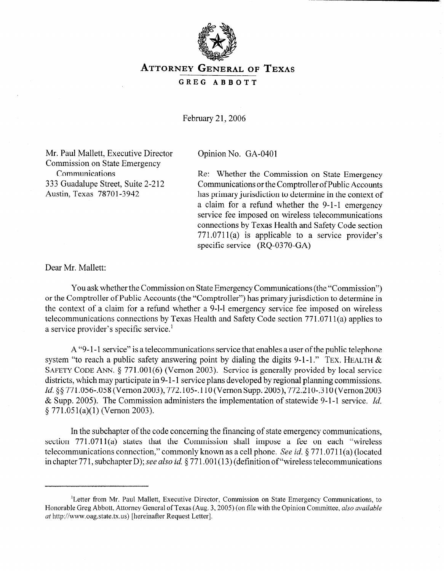

## ATTORNEY GENERAL OF TEXAS

**GREG ABBOTT** 

February 21, 2006

Mr. Paul Mallett, Executive Director Commission on State Emergency Communications 333 Guadalupe Street, Suite 2-212 Austin, Texas 78701-3942

Opinion No. GA-0401

Re: Whether the Commission on State Emergency Communications or the Comptroller of Public Accounts has primary jurisdiction to determine in the context of a claim for a refund whether the 9-l-l emergency service fee imposed on wireless telecommunications connections by Texas Health and Safety Code section  $771.0711(a)$  is applicable to a service provider's specific service (RQ-0370-GA)

Dear Mr. Mallett:

You ask whether the Commission on State Emergency Communications (the "Commission") or the Comptroller of Public Accounts (the "Comptroller") has primary jurisdiction to determine in the context of a claim for a refund whether a 9-l-l emergency service fee imposed on wireless telecommunications connections by Texas Health and Safety Code section 771.071 l(a) applies to a service provider's specific service.'

A "9-1-1 service" is a telecommunications service that enables a user of the public telephone system "to reach a public safety answering point by dialing the digits 9-1-1." TEX. HEALTH  $\&$ SAFETY CODE ANN. \$ 771.001(6) (Vernon 2003). Service is generally provided by local service districts, which may participate in 9-1-1 service plans developed by regional planning commissions. *Id.* §§ 771.056-.058 (Vernon 2003), 772.105-.110 (Vernon Supp. 2005), 772.210-.310 (Vernon 2003 & Supp. 2005). The Commission administers the implementation of statewide 9-l-l service. *Id.*   $§ 771.051(a)(1)$  (Vernon 2003).

In the subchapter of the code concerning the financing of state emergency communications, section  $771.0711(a)$  states that the Commission shall impose a fee on each "wireless" telecommunications connection," commonly known as a cell phone. See *id.* 5 77 1.07 11 (a) (located in chapter 771, subchapter D); see also id. § 771.001(13) (definition of "wireless telecommunications"

<sup>&#</sup>x27;Letter from Mr. Paul Mallett, Executive Director, Commission on State Emergency Communications, to Honorable Greg Abbott, Attorney General of Texas (Aug. 3,2005) (on file with the Opinion Committee, *also available at* http://www.oag.state.tx.us) [hereinafter Request Letter].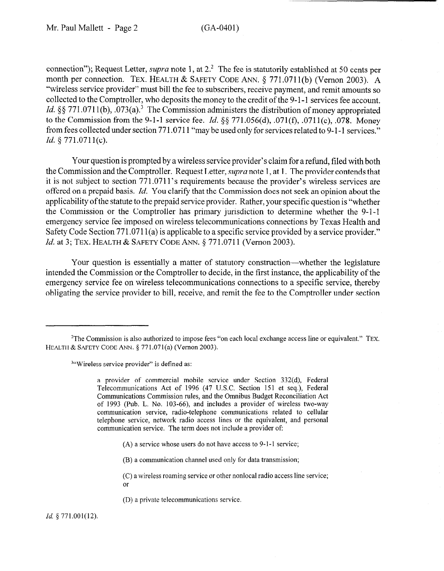connection"); Request Letter, *supra* note 1, at 2.<sup>2</sup> The fee is statutorily established at 50 cents per month per connection. TEX. HEALTH & SAFETY CODE ANN.  $\S$  771.0711(b) (Vernon 2003). A "wireless service provider" must bill the fee to subscribers, receive payment, and remit amounts so collected to the Comptroller, who deposits the money to the credit of the 9-l- 1 services fee account. *Id.*  $88 771.0711(b)$ ,  $.073(a)$ .<sup>3</sup> The Commission administers the distribution of money appropriated to the Commission from the 9-l-l service fee. *Id. \$j§* 771.056(d), .071(f), .071 l(c), .078. Money from fees collected under section 77 1.07 11 "may be used only for services related to 9-l -1 services." *Id. 5* 771.071 I(c).

Your question is prompted by a wireless service provider's claim for a refund, filed with both the Commission and the Comptroller. Request Letter, *supra* note 1, at 1. The provider contends that it is not subject to section 771.071 l's requirements because the provider's wireless services are offered on a prepaid basis. *Id.* You clarify that the Commission does not seek an opinion about the applicability of the statute to the prepaid service provider. Rather, your specific question is "whether the Commission or the Comptroller has primary jurisdiction to determine whether the 9-1-1 emergency service fee imposed on wireless telecommunications connections by Texas Health and Safety Code Section 771.0711(a) is applicable to a specific service provided by a service provider." *Id.* at 3; TEX. HEALTH & SAFETY CODE ANN. § 771.0711 (Vernon 2003).

Your question is essentially a matter of statutory construction—whether the legislature intended the Commission or the Comptroller to decide, in the first instance, the applicability of the emergency service fee on wireless telecommunications connections to a specific service, thereby obligating the service provider to bill, receive, and remit the fee to the Comptroller under section

<sup>3"</sup>Wireless service provider" is defined as:

a provider of commercial mobile service under Section 332(d), Federal Telecommunications Act of 1996 (47 U.S.C. Section 151 et seq.), Federal Communications Commission rules, and the Omnibus Budget Reconciliation Act of 1993 (Pub. L. No. 103-66), and includes a provider of wireless two-way communication service, radio-telephone communications related to cellular telephone service, network radio access lines or the equivalent, and personal communication service. The term does not include a provider of:

- $(A)$  a service whose users do not have access to 9-1-1 service;
- (B) a communication channel used only for data transmission;
- (C) a wireless roaming service or other nonlocal radio access line service; or
- (D) a private telecommunications service.

*Id.* § 771.001(12).

<sup>&</sup>lt;sup>2</sup>The Commission is also authorized to impose fees "on each local exchange access line or equivalent." TEX. HEALTH & SAFETY CODE ANN. § 771.071(a) (Vernon 2003).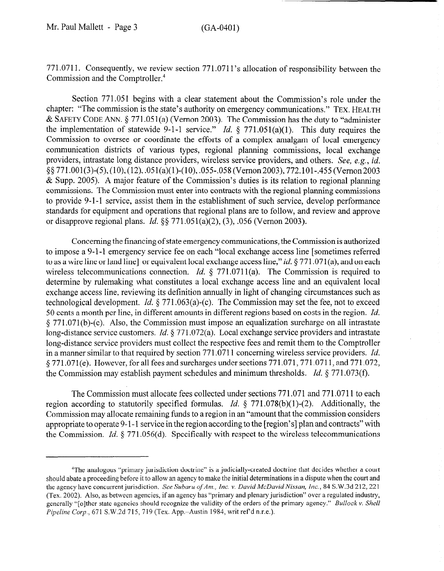771.0711. Consequently, we review section 771.071 l's allocation of responsibility between the Commission and the Comptroller.4

Section 771.051 begins with a clear statement about the Commission's role under the chapter: "The commission is the state's authority on emergency communications." TEX. HEALTH & SAFETY CODE ANN.  $\S 771.051(a)$  (Vernon 2003). The Commission has the duty to "administer" the implementation of statewide 9-1-1 service." *Id.*  $\S$  771.051(a)(1). This duty requires the Commission to oversee or coordinate the efforts of a complex amalgam of local emergency communication districts of various types, regional planning commissions, local exchange providers, intrastate long distance providers, wireless service providers, and others. See, e.g., *id.*   $\frac{8}{5}$  771.001(3)-(5),(10),(12),.051(a)(1)-(10),.055-.058(Vernon 2003), 772.101-.455(Vernon 2003) & Supp. 2005). A major feature of the Commission's duties is its relation to regional planning commissions. The Commission must enter into contracts with the regional planning commissions to provide 9-l-l service, assist them in the establishment of such service, develop performance standards for equipment and operations that regional plans are to follow, and review and approve or disapprove regional plans. *Id.* \$3 771.051(a)(2), (3), .056 (Vernon 2003).

Concerning the financing of state emergency communications, the Commission is authorized to impose a 9-1-l emergency service fee on each "local exchange access line [sometimes referred to as a wire line or land line] or equivalent local exchange access line," *id.*  $\S 771.071(a)$ , and on each wireless telecommunications connection. *Id.* § 771.0711(a). The Commission is required to determine by rulemaking what constitutes a local exchange access line and an equivalent local exchange access line, reviewing its definition annually in light of changing circumstances such as technological development. *Id.* 6 771.063(a)-(c). The Commission may set the fee, not to exceed 50 cents a month per line, in different amounts in different regions based on costs in the region. *Id.*   $\S 771.071(b)$ -(c). Also, the Commission must impose an equalization surcharge on all intrastate long-distance service customers. *Id.* § 771.072(a). Local exchange service providers and intrastate long-distance service providers must collect the respective fees and remit them to the Comptroller in a manner similar to that required by section 771.0711 concerning wireless service providers. *Id.*  4 771.071(e). However, for all fees and surcharges under sections 771.071,771.0711, and 771.072, the Commission may establish payment schedules and minimum thresholds. *Id. 6* 771.073(f).

The Commission must allocate fees collected under sections 771.071 and 771.0711 to each region according to statutorily specified formulas. *Id.* § 771.078(b)(1)-(2). Additionally, the Commission may allocate remaining funds to a region in an "amount that the commission considers appropriate to operate 9-1-1 service in the region according to the [region's] plan and contracts" with the Commission. *Id.* 6 771.056(d). Specifically with respect to the wireless telecommunications

<sup>4</sup>The analogous "primary jurisdiction doctrine" is a judicially-created doctrine that decides whether a court should abate a proceeding before it to allow an agency to make the initial determinations in a dispute when the court and the agency have concurrent jurisdiction. See *Subaru ofAm., Inc. v. David McDavid Nissan, Inc., 84* S.W.3d 212,221 (Tex. 2002). Also, as between agencies, if an agency has "primary and plenary jurisdiction" over a regulated industry, generally "[olther state agencies should recognize the validity of the orders of the primary agency." *Bullock v. Shell Pipeline Corp., 671 S.W.2d 715, 719 (Tex. App.–Austin 1984, writ ref'd n.r.e.).*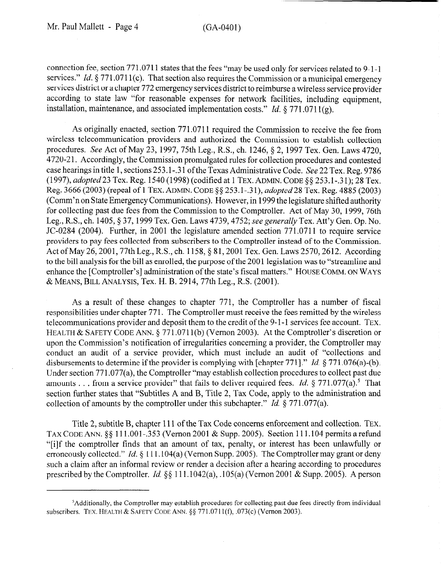connection fee, section 771.0711 states that the fees "may be used only for services related to 9-1-1 services." *Id.* § 771.0711(c). That section also requires the Commission or a municipal emergency services district or a chapter 772 emergency services district to reimburse a wireless service provider according to state law "for reasonable expenses for network facilities, including equipment, installation, maintenance, and associated implementation costs." *Id.*  $\frac{8}{771.0711(g)}$ .

As originally enacted, section 771.0711 required the Commission to receive the fee from wireless telecommunication providers and authorized the Commission to establish collection procedures. See Act of May 23, 1997,75th Leg., R.S., ch. 1246, \$ 2, 1997 Tex. Gen. Laws 4720, 4720-2 1. Accordingly, the Commission promulgated rules for collection procedures and contested case hearings in title 1, sections 253.1-.3 1 of the Texas Administrative Code. See 22 Tex. Reg. 9786 (1997), *adopted23* Tex. Reg. 1540 (1998) (codified at 1 TEX.ADMIN. CODE \$5 253.1-.31); 28 Tex. Reg. 3666 (2003) (repeal of 1 TEX. ADMIN. CODE *\$0 253.1-.3* l), *adopted 28* Tex. Reg. 4885 (2003) (Comm'n on State Emergency Communications). However, in 1999 the legislature shifted authority for collecting past due fees from the Commission to the Comptroller. Act of May 30, 1999, 76th Leg., RX, ch. 1405,§ 37,1999 Tex. Gen. Laws 4739,4752; see *generally* Tex. Att'y Gen. Op. No. JC-0284 (2004). Further, in 2001 the legislature amended section 771.0711 to require service providers to pay fees collected from subscribers to the Comptroller instead of to the Commission. Act of May 26, 2001, 77th Leg., R.S., ch. 1158, § 81, 2001 Tex. Gen. Laws 2570, 2612. According to the bill analysis for the bill as enrolled, the purpose of the 200 1 legislation was to "streamline and enhance the [Comptroller's] administration of the state's fiscal matters." HOUSE COMM. ON WAYS & MEANS, BILL ANALYSIS, Tex. H. B. 2914,77th Leg., R.S. (2001).

As a result of these changes to chapter 771, the Comptroller has a number of fiscal responsibilities under chapter 771. The Comptroller must receive the fees remitted by the wireless telecommunications provider and deposit them to the credit of the 9-1-1 services fee account. TEX. HEALTH & SAFETY CODE ANN. § 771.0711(b) (Vernon 2003). At the Comptroller's discretion or upon the Commission's notification of irregularities concerning a provider, the Comptroller may conduct an audit of a service provider, which must include an audit of "collections and disbursements to determine if the provider is complying with [chapter 771]." *Id.* § 771.076(a)-(b). Under section 771.077(a), the Comptroller "may establish collection procedures to collect past due amounts . . . from a service provider" that fails to deliver required fees. *Id.* § 771.077(a).<sup>5</sup> That section further states that "Subtitles A and B, Title 2, Tax Code, apply to the administration and collection of amounts by the comptroller under this subchapter." *Id.* § 771.077(a).

Title 2, subtitle B, chapter 111 of the Tax Code concerns enforcement and collection. TEX. TAX CODE ANN. \$6 111 .OOl-.353 (Vernon 2001 & Supp. 2005). Section 111.104 permits a refund "[i]f the comptroller finds that an amount of tax, penalty, or interest has been unlawfully or erroneously collected." *Id.* § 111.104(a) (Vernon Supp. 2005). The Comptroller may grant or deny such a claim after an informal review or render a decision after a hearing according to procedures prescribed by the Comptroller. Id.  $\S$  111.1042(a), .105(a) (Vernon 2001 & Supp. 2005). A person

<sup>&#</sup>x27;Additionally, the Comptroller may establish procedures for collecting past due fees directly from individual subscribers. TEX. HEALTH & SAFETY CODE ANN. \$5 77 1.07 11 (f), .073(c) (Vernon 2003).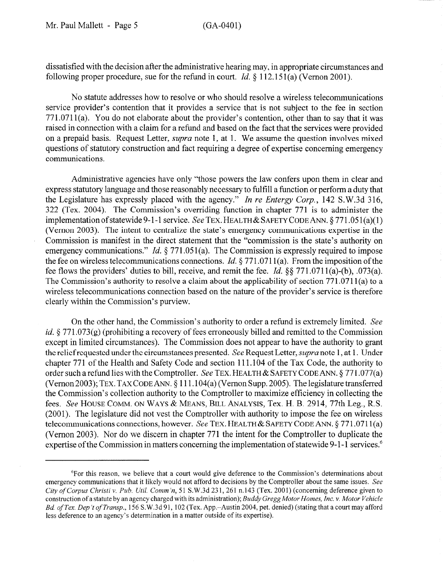dissatisfied with the decision after the administrative hearing may, in appropriate circumstances and following proper procedure, sue for the refund in court. *Id.* § 112.151(a) (Vernon 2001).

No statute addresses how to resolve or who should resolve a wireless telecommunications service provider's contention that it provides a service that is not subject to the fee in section 771.071 l(a). You do not elaborate about the provider's contention, other than to say that it was raised in connection with a claim for a refund and based on the fact that the services were provided on a prepaid basis. Request Letter, *supra* note 1, at 1. We assume the question involves mixed questions of statutory construction and fact requiring a degree of expertise concerning emergency communications.

Administrative agencies have only "those powers the law confers upon them in clear and express statutory language and those reasonably necessary to fulfill a function or perform a duty that the Legislature has expressly placed with the agency," *In re Entergy Corp.,* 142 S.W.3d 316, 322 (Tex. 2004). The Commission's overriding function in chapter 771 is to administer the implementation of statewide 9-1-1 service. See TEX. HEALTH & SAFETY CODE ANN.  $\S 771.051(a)(1)$ (Vernon 2003). The intent to centralize the state's emergency communications expertise in the Commission is manifest in the direct statement that the "commission is the state's authority on emergency communications." *Id.*  $\S 771.051(a)$ . The Commission is expressly required to impose the fee on wireless telecommunications connections. *Id.* 6 771.07 11 (a). From the imposition of the fee flows the providers' duties to bill, receive, and remit the fee. *Id. \$5* 771.071 l(a)-(b), .073(a). The Commission's authority to resolve a claim about the applicability of section 771.071 l(a) to a wireless telecommunications connection based on the nature of the provider's service is therefore clearly within the Commission's purview.

On the other hand, the Commission's authority to order a refund is extremely limited. See *id.*  $6771.073(g)$  (prohibiting a recovery of fees erroneously billed and remitted to the Commission except in limited circumstances). The Commission does not appear to have the authority to grant the relief requested under the circumstances presented. See Request Letter, *supra* note 1, at 1. Under chapter 771 of the Health and Safety Code and section 111.104 of the Tax Code, the authority to order such a refund lies with the Comptroller. See TEX. HEALTH & SAFETY CODE ANN. § 771.077(a) (Vernon 2003); TEX. TAX CODE ANN. § 111.104(a) (Vernon Supp. 2005). The legislature transferred the Commission's collection authority to the Comptroller to maximize efficiency in collecting the fees. See HOUSE COMM. ON WAYS & MEANS, BILL ANALYSIS, Tex. H. B. 2914, 77th Leg., R.S. (2001). The legislature did not vest the Comptroller with authority to impose the fee on wireless telecommunications connections, however. See TEX. HEALTH & SAFETY CODE ANN.  $\S 771.0711(a)$ (Vernon 2003). Nor do we discern in chapter 771 the intent for the Comptroller to duplicate the expertise of the Commission in matters concerning the implementation of statewide 9-1-1 services.<sup>6</sup>

<sup>6</sup>For this reason, we believe that a court would give deference to the Commission's determinations about emergency communications that it likely would not afford to decisions by the Comptroller about the same issues. See *City of Corpus Christi* v. *Pub. Util. Comm* 'n, 5 1 S. W.3d 23 1,26 1 n. 143 (Tex. 2001) (concerning deference given to construction of a statute by an agency charged with its administration); *Buddy Gregg Motor Homes, Inc. v. Motor Vehicle Bd. of* Tex. *Dep 't of Transp.,* 156 S.W.3d 91, 102 (Tex. App.-Austin 2004, pet. denied) (stating that a court may afford less deference to an agency's determination in a matter outside of its expertise).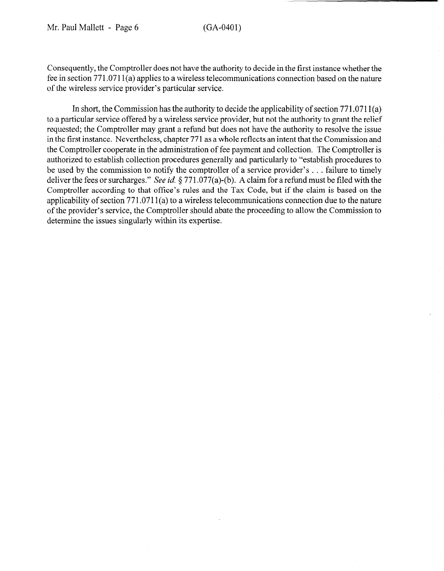Consequently, the Comptroller does not have the authority to decide in the first instance whether the fee in section 771.07 11 (a) applies to a wireless telecommunications connection based on the nature of the wireless service provider's particular service.

In short, the Commission has the authority to decide the applicability of section  $771.0711(a)$ to a particular service offered by a wireless service provider, but not the authority to grant the relief requested; the Comptroller may grant a refund but does not have the authority to resolve the issue in the first instance. Nevertheless, chapter 771 as a whole reflects an intent that the Commission and the Comptroller cooperate in the administration of fee payment and collection. The Comptroller is authorized to establish collection procedures generally and particularly to "establish procedures to be used by the commission to notify the comptroller of a service provider's . . . failure to timely deliver the fees or surcharges." See *id.* § 771.077(a)-(b). A claim for a refund must be filed with the Comptroller according to that office's rules and the Tax Code, but if the claim is based on the applicability of section 771.0711(a) to a wireless telecommunications connection due to the nature of the provider's service, the Comptroller should abate the proceeding to allow the Commission to determine the issues singularly within its expertise.